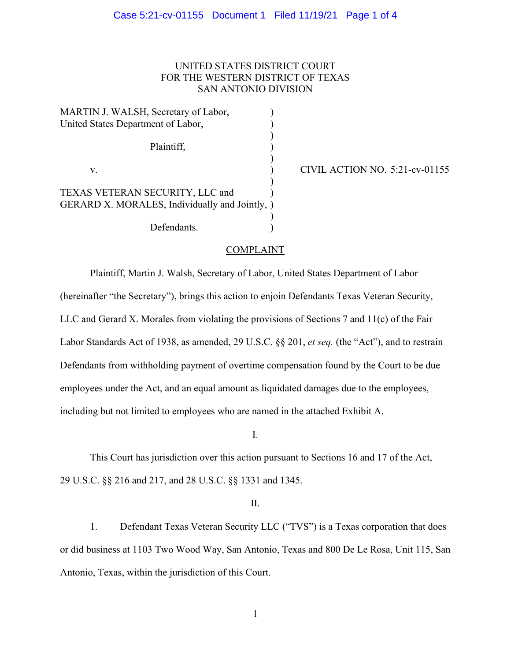# UNITED STATES DISTRICT COURT FOR THE WESTERN DISTRICT OF TEXAS SAN ANTONIO DIVISION

MARTIN J. WALSH, Secretary of Labor, United States Department of Labor, (1997)  $)$  Plaintiff, )  $)$ v. (a) CIVIL ACTION NO. 5:21-cv-01155  $\overline{\phantom{a}}$ TEXAS VETERAN SECURITY, LLC and ) GERARD X. MORALES, Individually and Jointly, )  $)$ Defendants.

# COMPLAINT

Plaintiff, Martin J. Walsh, Secretary of Labor, United States Department of Labor (hereinafter "the Secretary"), brings this action to enjoin Defendants Texas Veteran Security, LLC and Gerard X. Morales from violating the provisions of Sections 7 and 11(c) of the Fair Labor Standards Act of 1938, as amended, 29 U.S.C. §§ 201, *et seq.* (the "Act"), and to restrain Defendants from withholding payment of overtime compensation found by the Court to be due employees under the Act, and an equal amount as liquidated damages due to the employees, including but not limited to employees who are named in the attached Exhibit A.

I.

This Court has jurisdiction over this action pursuant to Sections 16 and 17 of the Act, 29 U.S.C. §§ 216 and 217, and 28 U.S.C. §§ 1331 and 1345.

II.

1. Defendant Texas Veteran Security LLC ("TVS") is a Texas corporation that does or did business at 1103 Two Wood Way, San Antonio, Texas and 800 De Le Rosa, Unit 115, San Antonio, Texas, within the jurisdiction of this Court.

1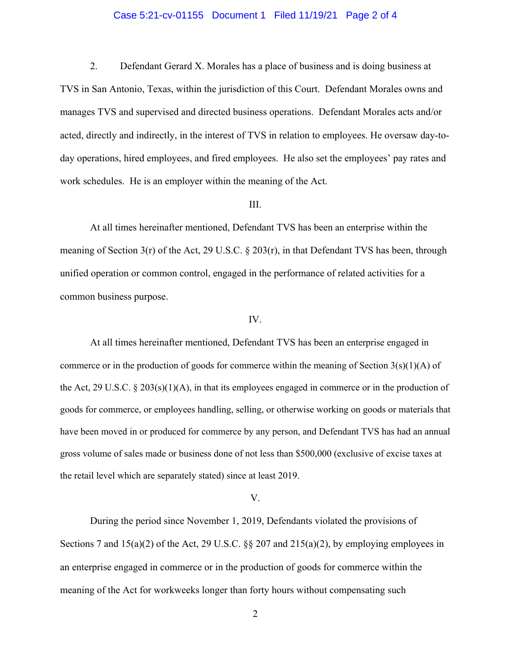## Case 5:21-cv-01155 Document 1 Filed 11/19/21 Page 2 of 4

2. Defendant Gerard X. Morales has a place of business and is doing business at

TVS in San Antonio, Texas, within the jurisdiction of this Court. Defendant Morales owns and manages TVS and supervised and directed business operations. Defendant Morales acts and/or acted, directly and indirectly, in the interest of TVS in relation to employees. He oversaw day-today operations, hired employees, and fired employees. He also set the employees' pay rates and work schedules. He is an employer within the meaning of the Act.

# III.

At all times hereinafter mentioned, Defendant TVS has been an enterprise within the meaning of Section 3(r) of the Act, 29 U.S.C. § 203(r), in that Defendant TVS has been, through unified operation or common control, engaged in the performance of related activities for a common business purpose.

### IV.

At all times hereinafter mentioned, Defendant TVS has been an enterprise engaged in commerce or in the production of goods for commerce within the meaning of Section  $3(s)(1)(A)$  of the Act, 29 U.S.C.  $\S 203(s)(1)(A)$ , in that its employees engaged in commerce or in the production of goods for commerce, or employees handling, selling, or otherwise working on goods or materials that have been moved in or produced for commerce by any person, and Defendant TVS has had an annual gross volume of sales made or business done of not less than \$500,000 (exclusive of excise taxes at the retail level which are separately stated) since at least 2019.

#### V.

 During the period since November 1, 2019, Defendants violated the provisions of Sections 7 and  $15(a)(2)$  of the Act, 29 U.S.C. §§ 207 and  $215(a)(2)$ , by employing employees in an enterprise engaged in commerce or in the production of goods for commerce within the meaning of the Act for workweeks longer than forty hours without compensating such

2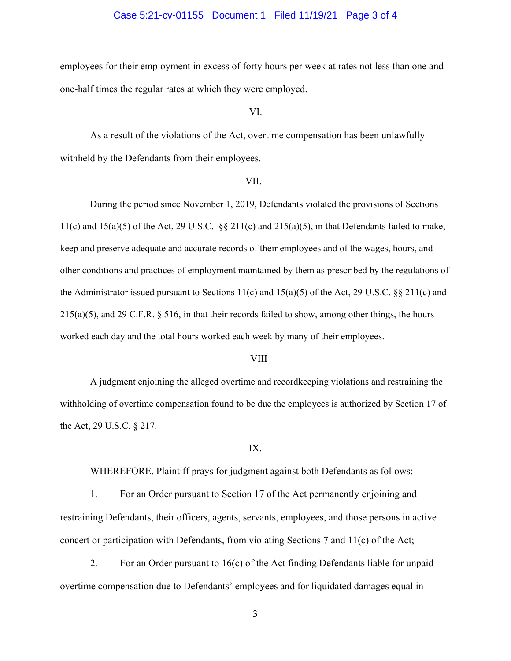## Case 5:21-cv-01155 Document 1 Filed 11/19/21 Page 3 of 4

employees for their employment in excess of forty hours per week at rates not less than one and one-half times the regular rates at which they were employed.

VI.

As a result of the violations of the Act, overtime compensation has been unlawfully withheld by the Defendants from their employees.

### VII.

During the period since November 1, 2019, Defendants violated the provisions of Sections 11(c) and  $15(a)(5)$  of the Act, 29 U.S.C. §§ 211(c) and  $215(a)(5)$ , in that Defendants failed to make, keep and preserve adequate and accurate records of their employees and of the wages, hours, and other conditions and practices of employment maintained by them as prescribed by the regulations of the Administrator issued pursuant to Sections 11(c) and 15(a)(5) of the Act, 29 U.S.C. §§ 211(c) and 215(a)(5), and 29 C.F.R. § 516, in that their records failed to show, among other things, the hours worked each day and the total hours worked each week by many of their employees.

### VIII

A judgment enjoining the alleged overtime and recordkeeping violations and restraining the withholding of overtime compensation found to be due the employees is authorized by Section 17 of the Act, 29 U.S.C. § 217.

#### IX.

WHEREFORE, Plaintiff prays for judgment against both Defendants as follows:

 1. For an Order pursuant to Section 17 of the Act permanently enjoining and restraining Defendants, their officers, agents, servants, employees, and those persons in active concert or participation with Defendants, from violating Sections 7 and 11(c) of the Act;

 2. For an Order pursuant to 16(c) of the Act finding Defendants liable for unpaid overtime compensation due to Defendants' employees and for liquidated damages equal in

3